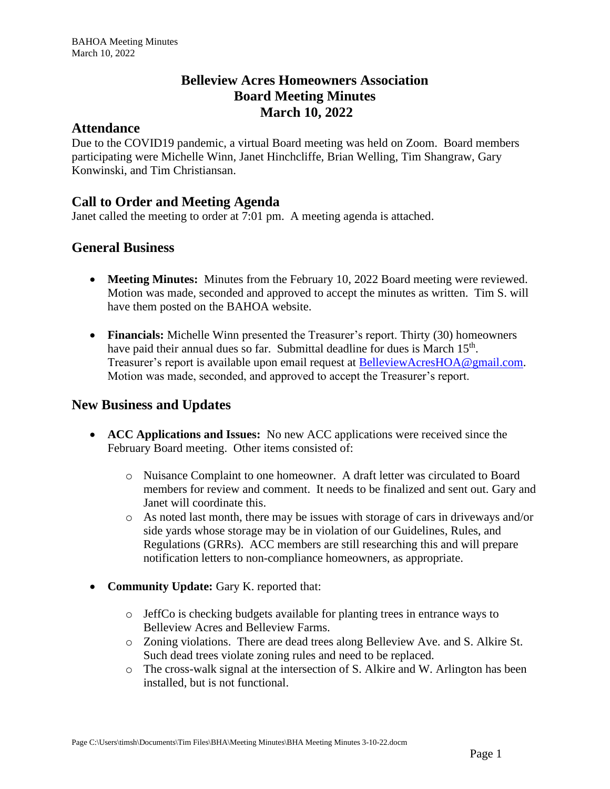# **Belleview Acres Homeowners Association Board Meeting Minutes March 10, 2022**

#### **Attendance**

Due to the COVID19 pandemic, a virtual Board meeting was held on Zoom. Board members participating were Michelle Winn, Janet Hinchcliffe, Brian Welling, Tim Shangraw, Gary Konwinski, and Tim Christiansan.

# **Call to Order and Meeting Agenda**

Janet called the meeting to order at 7:01 pm. A meeting agenda is attached.

### **General Business**

- **Meeting Minutes:** Minutes from the February 10, 2022 Board meeting were reviewed. Motion was made, seconded and approved to accept the minutes as written. Tim S. will have them posted on the BAHOA website.
- **Financials:** Michelle Winn presented the Treasurer's report. Thirty (30) homeowners have paid their annual dues so far. Submittal deadline for dues is March 15<sup>th</sup>. Treasurer's report is available upon email request at [BelleviewAcresHOA@gmail.com.](mailto:BelleviewAcresHOA@gmail.com) Motion was made, seconded, and approved to accept the Treasurer's report.

# **New Business and Updates**

- **ACC Applications and Issues:** No new ACC applications were received since the February Board meeting. Other items consisted of:
	- o Nuisance Complaint to one homeowner. A draft letter was circulated to Board members for review and comment. It needs to be finalized and sent out. Gary and Janet will coordinate this.
	- o As noted last month, there may be issues with storage of cars in driveways and/or side yards whose storage may be in violation of our Guidelines, Rules, and Regulations (GRRs). ACC members are still researching this and will prepare notification letters to non-compliance homeowners, as appropriate.
- **Community Update:** Gary K. reported that:
	- $\circ$  JeffCo is checking budgets available for planting trees in entrance ways to Belleview Acres and Belleview Farms.
	- o Zoning violations. There are dead trees along Belleview Ave. and S. Alkire St. Such dead trees violate zoning rules and need to be replaced.
	- o The cross-walk signal at the intersection of S. Alkire and W. Arlington has been installed, but is not functional.